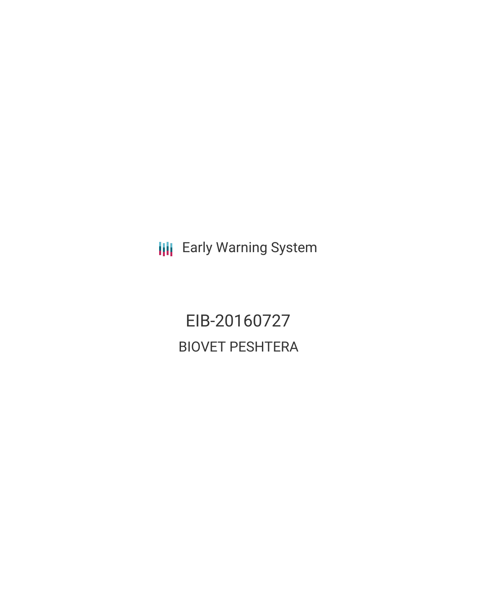**III** Early Warning System

EIB-20160727 BIOVET PESHTERA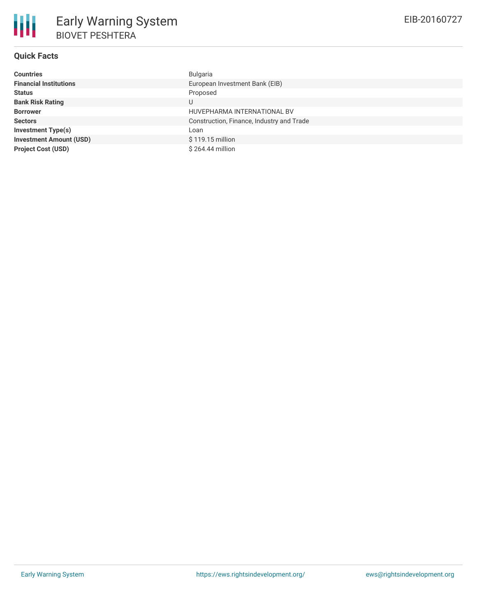

# **Quick Facts**

| <b>Countries</b>               | Bulgaria                                  |
|--------------------------------|-------------------------------------------|
| <b>Financial Institutions</b>  | European Investment Bank (EIB)            |
| <b>Status</b>                  | Proposed                                  |
| <b>Bank Risk Rating</b>        | U                                         |
| <b>Borrower</b>                | HUVEPHARMA INTERNATIONAL BV               |
| <b>Sectors</b>                 | Construction, Finance, Industry and Trade |
| <b>Investment Type(s)</b>      | Loan                                      |
| <b>Investment Amount (USD)</b> | \$119.15 million                          |
| <b>Project Cost (USD)</b>      | \$264.44 million                          |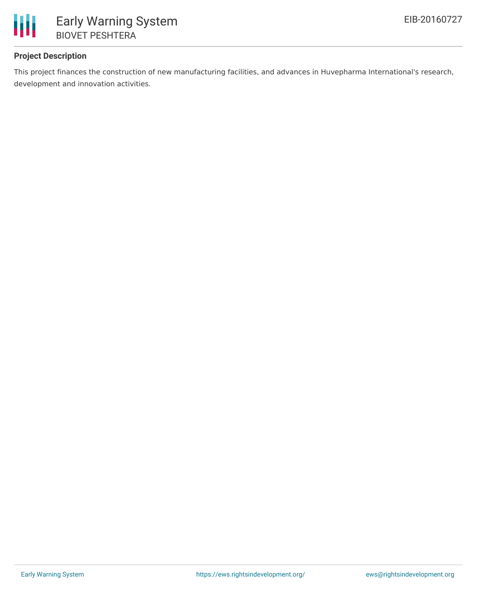

# **Project Description**

This project finances the construction of new manufacturing facilities, and advances in Huvepharma International's research, development and innovation activities.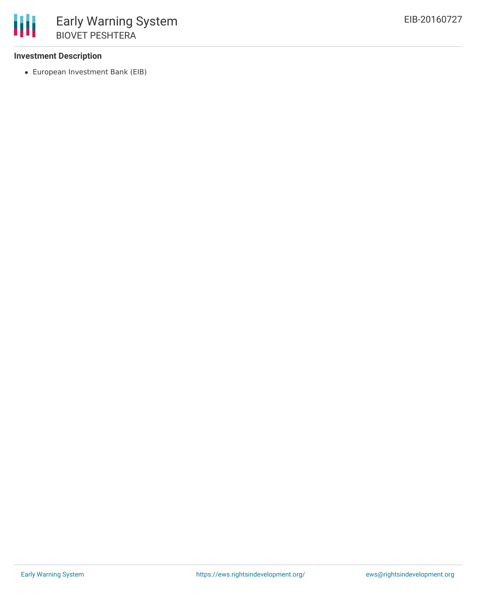### **Investment Description**

European Investment Bank (EIB)